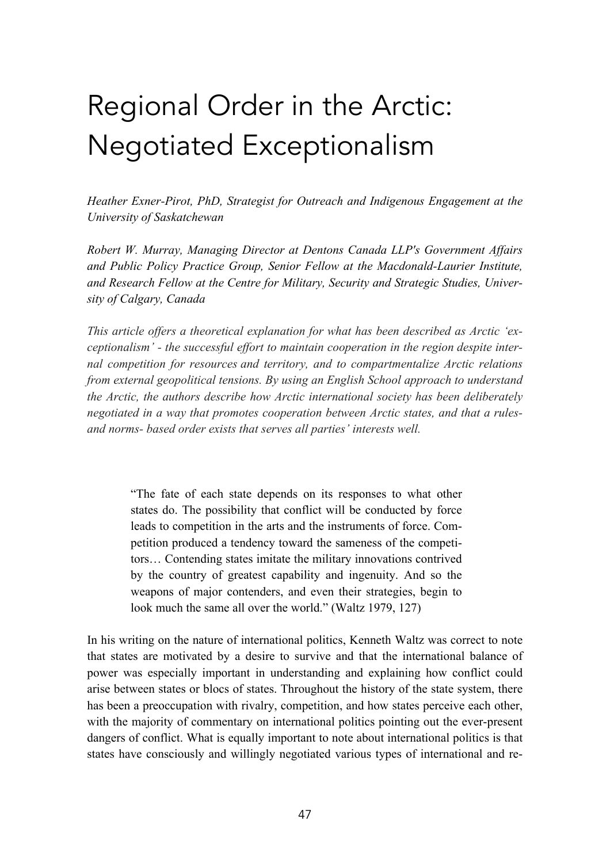# Regional Order in the Arctic: Negotiated Exceptionalism

*Heather Exner-Pirot, PhD, Strategist for Outreach and Indigenous Engagement at the University of Saskatchewan*

*Robert W. Murray, Managing Director at Dentons Canada LLP's Government Affairs and Public Policy Practice Group, Senior Fellow at the Macdonald-Laurier Institute, and Research Fellow at the Centre for Military, Security and Strategic Studies, University of Calgary, Canada*

*This article offers a theoretical explanation for what has been described as Arctic 'exceptionalism' - the successful effort to maintain cooperation in the region despite internal competition for resources and territory, and to compartmentalize Arctic relations from external geopolitical tensions. By using an English School approach to understand the Arctic, the authors describe how Arctic international society has been deliberately negotiated in a way that promotes cooperation between Arctic states, and that a rulesand norms- based order exists that serves all parties' interests well.*

> "The fate of each state depends on its responses to what other states do. The possibility that conflict will be conducted by force leads to competition in the arts and the instruments of force. Competition produced a tendency toward the sameness of the competitors… Contending states imitate the military innovations contrived by the country of greatest capability and ingenuity. And so the weapons of major contenders, and even their strategies, begin to look much the same all over the world." (Waltz 1979, 127)

In his writing on the nature of international politics, Kenneth Waltz was correct to note that states are motivated by a desire to survive and that the international balance of power was especially important in understanding and explaining how conflict could arise between states or blocs of states. Throughout the history of the state system, there has been a preoccupation with rivalry, competition, and how states perceive each other, with the majority of commentary on international politics pointing out the ever-present dangers of conflict. What is equally important to note about international politics is that states have consciously and willingly negotiated various types of international and re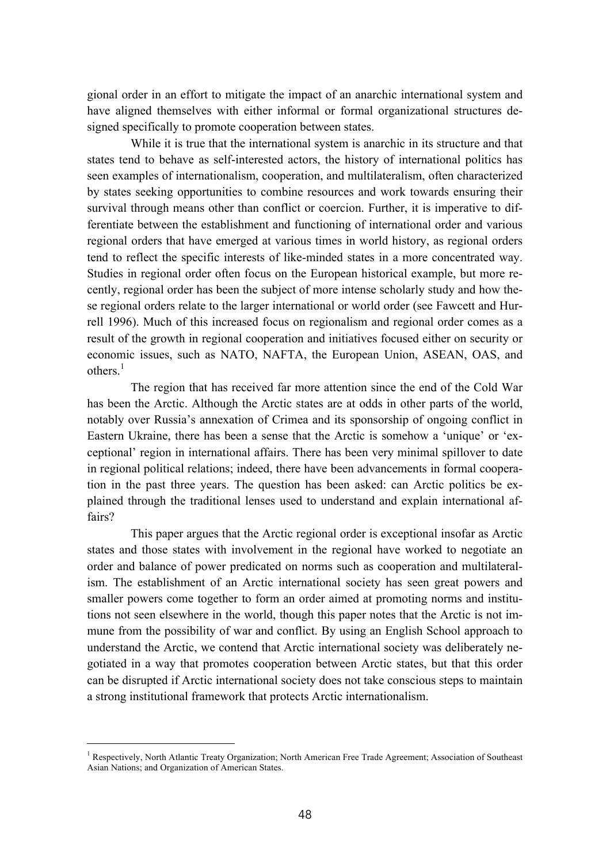gional order in an effort to mitigate the impact of an anarchic international system and have aligned themselves with either informal or formal organizational structures designed specifically to promote cooperation between states.

While it is true that the international system is anarchic in its structure and that states tend to behave as self-interested actors, the history of international politics has seen examples of internationalism, cooperation, and multilateralism, often characterized by states seeking opportunities to combine resources and work towards ensuring their survival through means other than conflict or coercion. Further, it is imperative to differentiate between the establishment and functioning of international order and various regional orders that have emerged at various times in world history, as regional orders tend to reflect the specific interests of like-minded states in a more concentrated way. Studies in regional order often focus on the European historical example, but more recently, regional order has been the subject of more intense scholarly study and how these regional orders relate to the larger international or world order (see Fawcett and Hurrell 1996). Much of this increased focus on regionalism and regional order comes as a result of the growth in regional cooperation and initiatives focused either on security or economic issues, such as NATO, NAFTA, the European Union, ASEAN, OAS, and others $1$ 

The region that has received far more attention since the end of the Cold War has been the Arctic. Although the Arctic states are at odds in other parts of the world, notably over Russia's annexation of Crimea and its sponsorship of ongoing conflict in Eastern Ukraine, there has been a sense that the Arctic is somehow a 'unique' or 'exceptional' region in international affairs. There has been very minimal spillover to date in regional political relations; indeed, there have been advancements in formal cooperation in the past three years. The question has been asked: can Arctic politics be explained through the traditional lenses used to understand and explain international affairs?

This paper argues that the Arctic regional order is exceptional insofar as Arctic states and those states with involvement in the regional have worked to negotiate an order and balance of power predicated on norms such as cooperation and multilateralism. The establishment of an Arctic international society has seen great powers and smaller powers come together to form an order aimed at promoting norms and institutions not seen elsewhere in the world, though this paper notes that the Arctic is not immune from the possibility of war and conflict. By using an English School approach to understand the Arctic, we contend that Arctic international society was deliberately negotiated in a way that promotes cooperation between Arctic states, but that this order can be disrupted if Arctic international society does not take conscious steps to maintain a strong institutional framework that protects Arctic internationalism.

<sup>&</sup>lt;sup>1</sup> Respectively, North Atlantic Treaty Organization; North American Free Trade Agreement; Association of Southeast Asian Nations; and Organization of American States.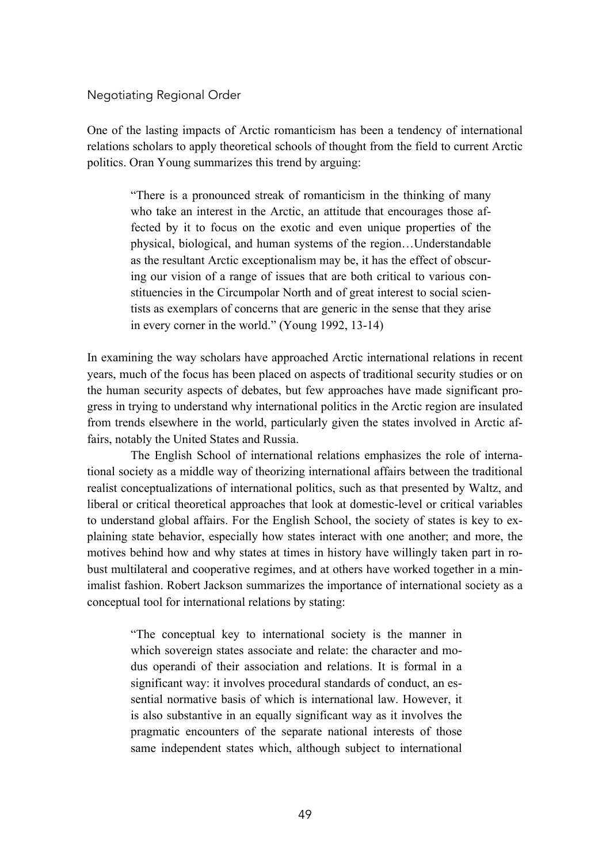#### Negotiating Regional Order

One of the lasting impacts of Arctic romanticism has been a tendency of international relations scholars to apply theoretical schools of thought from the field to current Arctic politics. Oran Young summarizes this trend by arguing:

"There is a pronounced streak of romanticism in the thinking of many who take an interest in the Arctic, an attitude that encourages those affected by it to focus on the exotic and even unique properties of the physical, biological, and human systems of the region…Understandable as the resultant Arctic exceptionalism may be, it has the effect of obscuring our vision of a range of issues that are both critical to various constituencies in the Circumpolar North and of great interest to social scientists as exemplars of concerns that are generic in the sense that they arise in every corner in the world." (Young 1992, 13-14)

In examining the way scholars have approached Arctic international relations in recent years, much of the focus has been placed on aspects of traditional security studies or on the human security aspects of debates, but few approaches have made significant progress in trying to understand why international politics in the Arctic region are insulated from trends elsewhere in the world, particularly given the states involved in Arctic affairs, notably the United States and Russia.

The English School of international relations emphasizes the role of international society as a middle way of theorizing international affairs between the traditional realist conceptualizations of international politics, such as that presented by Waltz, and liberal or critical theoretical approaches that look at domestic-level or critical variables to understand global affairs. For the English School, the society of states is key to explaining state behavior, especially how states interact with one another; and more, the motives behind how and why states at times in history have willingly taken part in robust multilateral and cooperative regimes, and at others have worked together in a minimalist fashion. Robert Jackson summarizes the importance of international society as a conceptual tool for international relations by stating:

"The conceptual key to international society is the manner in which sovereign states associate and relate: the character and modus operandi of their association and relations. It is formal in a significant way: it involves procedural standards of conduct, an essential normative basis of which is international law. However, it is also substantive in an equally significant way as it involves the pragmatic encounters of the separate national interests of those same independent states which, although subject to international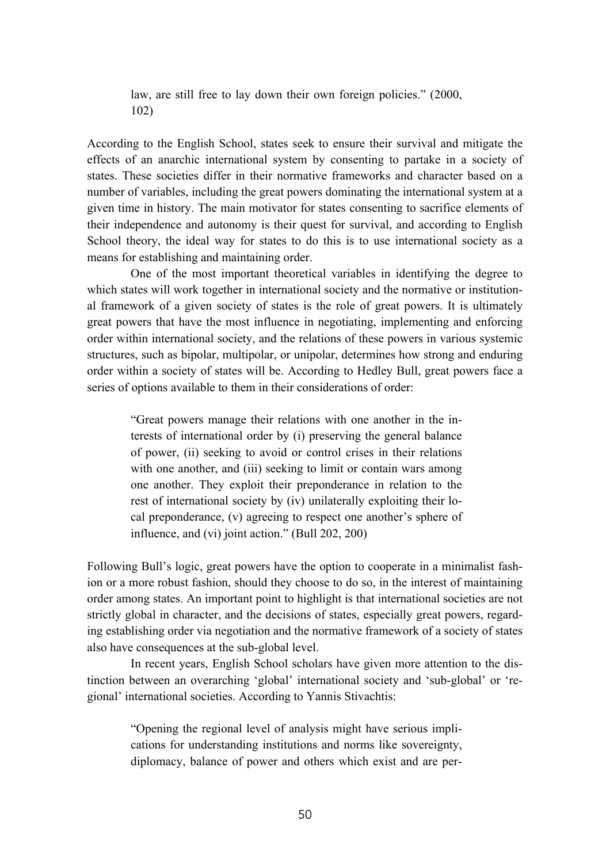law, are still free to lay down their own foreign policies." (2000, 102)

According to the English School, states seek to ensure their survival and mitigate the effects of an anarchic international system by consenting to partake in a society of states. These societies differ in their normative frameworks and character based on a number of variables, including the great powers dominating the international system at a given time in history. The main motivator for states consenting to sacrifice elements of their independence and autonomy is their quest for survival, and according to English School theory, the ideal way for states to do this is to use international society as a means for establishing and maintaining order.

One of the most important theoretical variables in identifying the degree to which states will work together in international society and the normative or institutional framework of a given society of states is the role of great powers. It is ultimately great powers that have the most influence in negotiating, implementing and enforcing order within international society, and the relations of these powers in various systemic structures, such as bipolar, multipolar, or unipolar, determines how strong and enduring order within a society of states will be. According to Hedley Bull, great powers face a series of options available to them in their considerations of order:

"Great powers manage their relations with one another in the interests of international order by (i) preserving the general balance of power, (ii) seeking to avoid or control crises in their relations with one another, and (iii) seeking to limit or contain wars among one another. They exploit their preponderance in relation to the rest of international society by (iv) unilaterally exploiting their local preponderance, (v) agreeing to respect one another's sphere of influence, and (vi) joint action." (Bull 202, 200)

Following Bull's logic, great powers have the option to cooperate in a minimalist fashion or a more robust fashion, should they choose to do so, in the interest of maintaining order among states. An important point to highlight is that international societies are not strictly global in character, and the decisions of states, especially great powers, regarding establishing order via negotiation and the normative framework of a society of states also have consequences at the sub-global level.

In recent years, English School scholars have given more attention to the distinction between an overarching 'global' international society and 'sub-global' or 'regional' international societies. According to Yannis Stivachtis:

"Opening the regional level of analysis might have serious implications for understanding institutions and norms like sovereignty, diplomacy, balance of power and others which exist and are per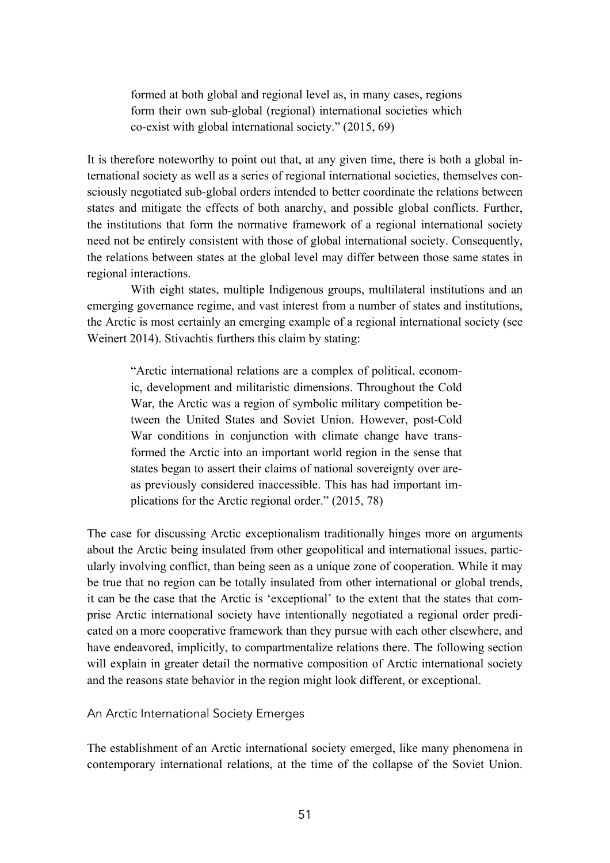formed at both global and regional level as, in many cases, regions form their own sub-global (regional) international societies which co-exist with global international society." (2015, 69)

It is therefore noteworthy to point out that, at any given time, there is both a global international society as well as a series of regional international societies, themselves consciously negotiated sub-global orders intended to better coordinate the relations between states and mitigate the effects of both anarchy, and possible global conflicts. Further, the institutions that form the normative framework of a regional international society need not be entirely consistent with those of global international society. Consequently, the relations between states at the global level may differ between those same states in regional interactions.

With eight states, multiple Indigenous groups, multilateral institutions and an emerging governance regime, and vast interest from a number of states and institutions, the Arctic is most certainly an emerging example of a regional international society (see Weinert 2014). Stivachtis furthers this claim by stating:

"Arctic international relations are a complex of political, economic, development and militaristic dimensions. Throughout the Cold War, the Arctic was a region of symbolic military competition between the United States and Soviet Union. However, post-Cold War conditions in conjunction with climate change have transformed the Arctic into an important world region in the sense that states began to assert their claims of national sovereignty over areas previously considered inaccessible. This has had important implications for the Arctic regional order." (2015, 78)

The case for discussing Arctic exceptionalism traditionally hinges more on arguments about the Arctic being insulated from other geopolitical and international issues, particularly involving conflict, than being seen as a unique zone of cooperation. While it may be true that no region can be totally insulated from other international or global trends, it can be the case that the Arctic is 'exceptional' to the extent that the states that comprise Arctic international society have intentionally negotiated a regional order predicated on a more cooperative framework than they pursue with each other elsewhere, and have endeavored, implicitly, to compartmentalize relations there. The following section will explain in greater detail the normative composition of Arctic international society and the reasons state behavior in the region might look different, or exceptional.

An Arctic International Society Emerges

The establishment of an Arctic international society emerged, like many phenomena in contemporary international relations, at the time of the collapse of the Soviet Union.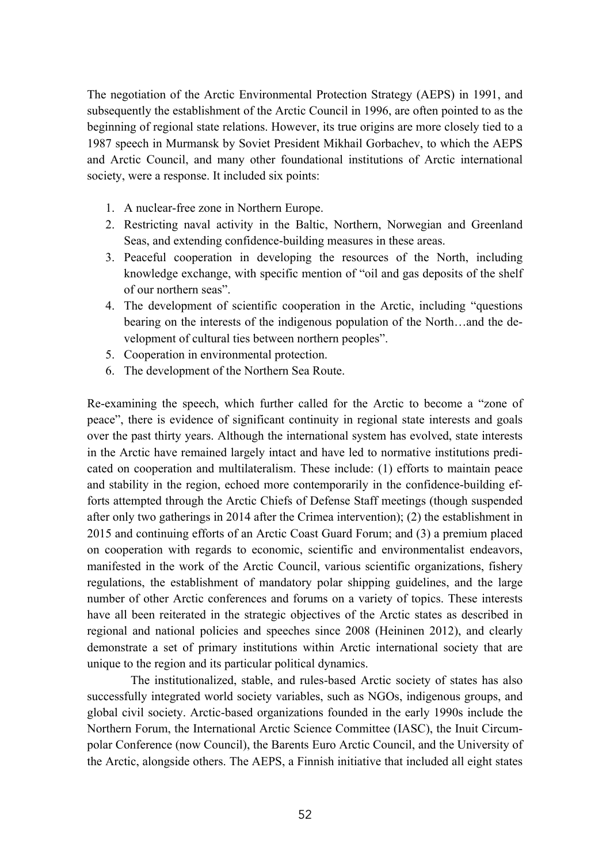The negotiation of the Arctic Environmental Protection Strategy (AEPS) in 1991, and subsequently the establishment of the Arctic Council in 1996, are often pointed to as the beginning of regional state relations. However, its true origins are more closely tied to a 1987 speech in Murmansk by Soviet President Mikhail Gorbachev, to which the AEPS and Arctic Council, and many other foundational institutions of Arctic international society, were a response. It included six points:

- 1. A nuclear-free zone in Northern Europe.
- 2. Restricting naval activity in the Baltic, Northern, Norwegian and Greenland Seas, and extending confidence-building measures in these areas.
- 3. Peaceful cooperation in developing the resources of the North, including knowledge exchange, with specific mention of "oil and gas deposits of the shelf of our northern seas".
- 4. The development of scientific cooperation in the Arctic, including "questions bearing on the interests of the indigenous population of the North…and the development of cultural ties between northern peoples".
- 5. Cooperation in environmental protection.
- 6. The development of the Northern Sea Route.

Re-examining the speech, which further called for the Arctic to become a "zone of peace", there is evidence of significant continuity in regional state interests and goals over the past thirty years. Although the international system has evolved, state interests in the Arctic have remained largely intact and have led to normative institutions predicated on cooperation and multilateralism. These include: (1) efforts to maintain peace and stability in the region, echoed more contemporarily in the confidence-building efforts attempted through the Arctic Chiefs of Defense Staff meetings (though suspended after only two gatherings in 2014 after the Crimea intervention); (2) the establishment in 2015 and continuing efforts of an Arctic Coast Guard Forum; and (3) a premium placed on cooperation with regards to economic, scientific and environmentalist endeavors, manifested in the work of the Arctic Council, various scientific organizations, fishery regulations, the establishment of mandatory polar shipping guidelines, and the large number of other Arctic conferences and forums on a variety of topics. These interests have all been reiterated in the strategic objectives of the Arctic states as described in regional and national policies and speeches since 2008 (Heininen 2012), and clearly demonstrate a set of primary institutions within Arctic international society that are unique to the region and its particular political dynamics.

The institutionalized, stable, and rules-based Arctic society of states has also successfully integrated world society variables, such as NGOs, indigenous groups, and global civil society. Arctic-based organizations founded in the early 1990s include the Northern Forum, the International Arctic Science Committee (IASC), the Inuit Circumpolar Conference (now Council), the Barents Euro Arctic Council, and the University of the Arctic, alongside others. The AEPS, a Finnish initiative that included all eight states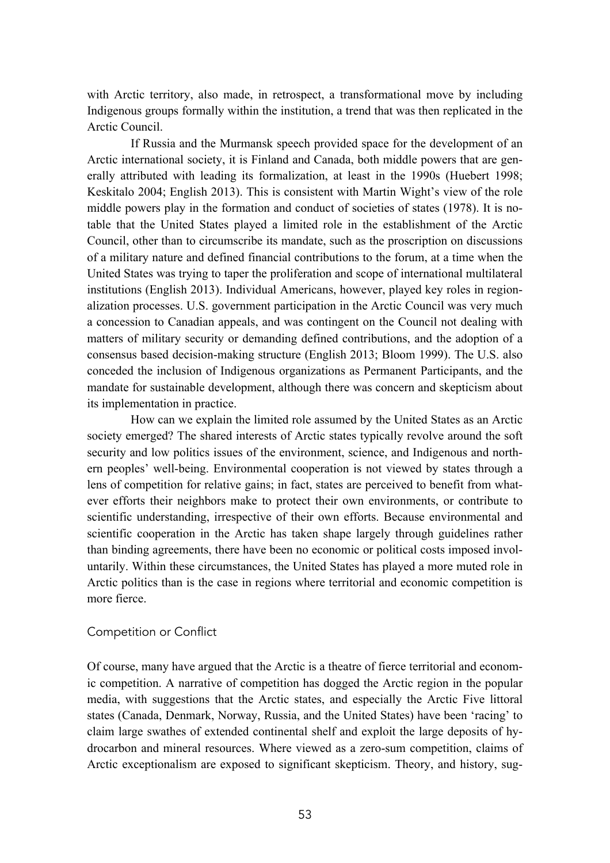with Arctic territory, also made, in retrospect, a transformational move by including Indigenous groups formally within the institution, a trend that was then replicated in the Arctic Council.

If Russia and the Murmansk speech provided space for the development of an Arctic international society, it is Finland and Canada, both middle powers that are generally attributed with leading its formalization, at least in the 1990s (Huebert 1998; Keskitalo 2004; English 2013). This is consistent with Martin Wight's view of the role middle powers play in the formation and conduct of societies of states (1978). It is notable that the United States played a limited role in the establishment of the Arctic Council, other than to circumscribe its mandate, such as the proscription on discussions of a military nature and defined financial contributions to the forum, at a time when the United States was trying to taper the proliferation and scope of international multilateral institutions (English 2013). Individual Americans, however, played key roles in regionalization processes. U.S. government participation in the Arctic Council was very much a concession to Canadian appeals, and was contingent on the Council not dealing with matters of military security or demanding defined contributions, and the adoption of a consensus based decision-making structure (English 2013; Bloom 1999). The U.S. also conceded the inclusion of Indigenous organizations as Permanent Participants, and the mandate for sustainable development, although there was concern and skepticism about its implementation in practice.

How can we explain the limited role assumed by the United States as an Arctic society emerged? The shared interests of Arctic states typically revolve around the soft security and low politics issues of the environment, science, and Indigenous and northern peoples' well-being. Environmental cooperation is not viewed by states through a lens of competition for relative gains; in fact, states are perceived to benefit from whatever efforts their neighbors make to protect their own environments, or contribute to scientific understanding, irrespective of their own efforts. Because environmental and scientific cooperation in the Arctic has taken shape largely through guidelines rather than binding agreements, there have been no economic or political costs imposed involuntarily. Within these circumstances, the United States has played a more muted role in Arctic politics than is the case in regions where territorial and economic competition is more fierce.

# Competition or Conflict

Of course, many have argued that the Arctic is a theatre of fierce territorial and economic competition. A narrative of competition has dogged the Arctic region in the popular media, with suggestions that the Arctic states, and especially the Arctic Five littoral states (Canada, Denmark, Norway, Russia, and the United States) have been 'racing' to claim large swathes of extended continental shelf and exploit the large deposits of hydrocarbon and mineral resources. Where viewed as a zero-sum competition, claims of Arctic exceptionalism are exposed to significant skepticism. Theory, and history, sug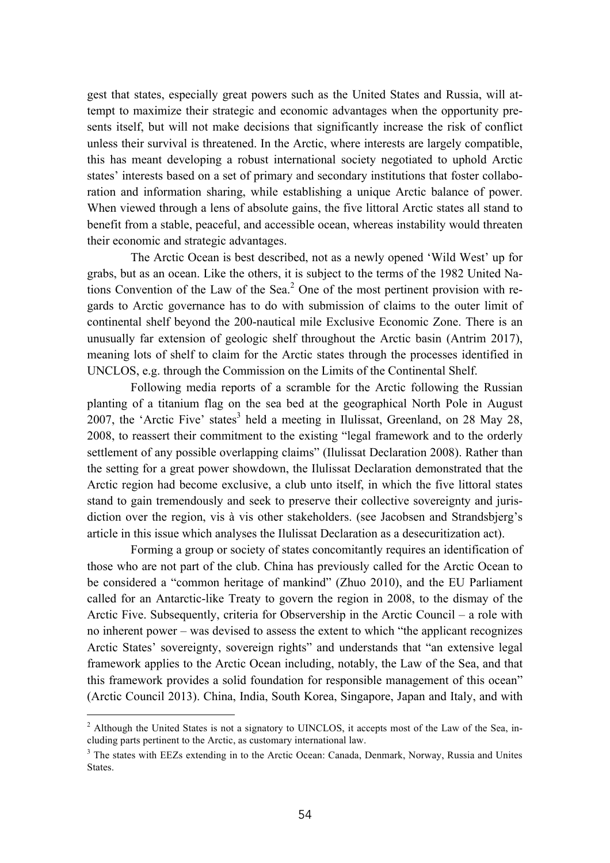gest that states, especially great powers such as the United States and Russia, will attempt to maximize their strategic and economic advantages when the opportunity presents itself, but will not make decisions that significantly increase the risk of conflict unless their survival is threatened. In the Arctic, where interests are largely compatible, this has meant developing a robust international society negotiated to uphold Arctic states' interests based on a set of primary and secondary institutions that foster collaboration and information sharing, while establishing a unique Arctic balance of power. When viewed through a lens of absolute gains, the five littoral Arctic states all stand to benefit from a stable, peaceful, and accessible ocean, whereas instability would threaten their economic and strategic advantages.

The Arctic Ocean is best described, not as a newly opened 'Wild West' up for grabs, but as an ocean. Like the others, it is subject to the terms of the 1982 United Nations Convention of the Law of the Sea. $<sup>2</sup>$  One of the most pertinent provision with re-</sup> gards to Arctic governance has to do with submission of claims to the outer limit of continental shelf beyond the 200-nautical mile Exclusive Economic Zone. There is an unusually far extension of geologic shelf throughout the Arctic basin (Antrim 2017), meaning lots of shelf to claim for the Arctic states through the processes identified in UNCLOS, e.g. through the Commission on the Limits of the Continental Shelf.

Following media reports of a scramble for the Arctic following the Russian planting of a titanium flag on the sea bed at the geographical North Pole in August 2007, the 'Arctic Five' states<sup>3</sup> held a meeting in Ilulissat, Greenland, on 28 May 28, 2008, to reassert their commitment to the existing "legal framework and to the orderly settlement of any possible overlapping claims" (Ilulissat Declaration 2008). Rather than the setting for a great power showdown, the Ilulissat Declaration demonstrated that the Arctic region had become exclusive, a club unto itself, in which the five littoral states stand to gain tremendously and seek to preserve their collective sovereignty and jurisdiction over the region, vis à vis other stakeholders. (see Jacobsen and Strandsbjerg's article in this issue which analyses the Ilulissat Declaration as a desecuritization act).

Forming a group or society of states concomitantly requires an identification of those who are not part of the club. China has previously called for the Arctic Ocean to be considered a "common heritage of mankind" (Zhuo 2010), and the EU Parliament called for an Antarctic-like Treaty to govern the region in 2008, to the dismay of the Arctic Five. Subsequently, criteria for Observership in the Arctic Council – a role with no inherent power – was devised to assess the extent to which "the applicant recognizes Arctic States' sovereignty, sovereign rights" and understands that "an extensive legal framework applies to the Arctic Ocean including, notably, the Law of the Sea, and that this framework provides a solid foundation for responsible management of this ocean" (Arctic Council 2013). China, India, South Korea, Singapore, Japan and Italy, and with

<sup>&</sup>lt;sup>2</sup> Although the United States is not a signatory to UINCLOS, it accepts most of the Law of the Sea, including parts pertinent to the Arctic, as customary international law.

<sup>&</sup>lt;sup>3</sup> The states with EEZs extending in to the Arctic Ocean: Canada, Denmark, Norway, Russia and Unites States.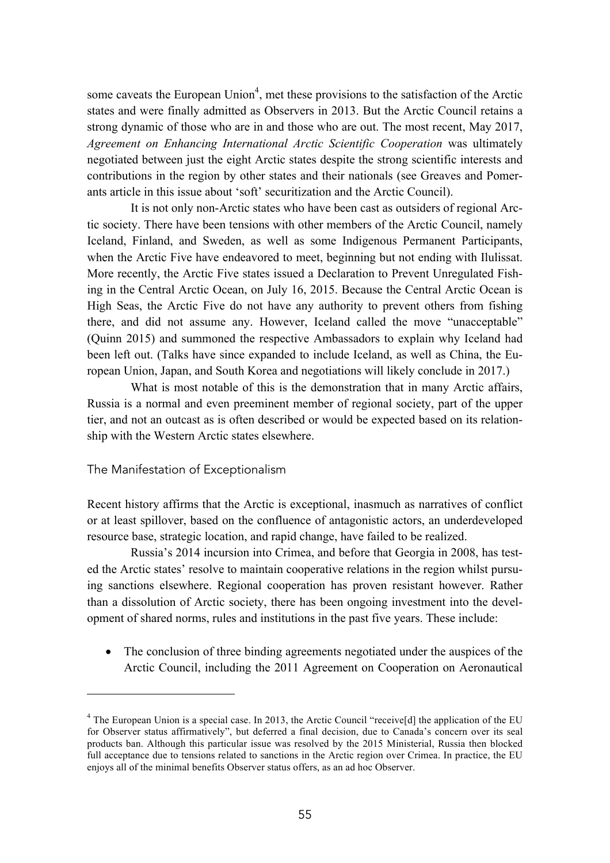some caveats the European Union<sup>4</sup>, met these provisions to the satisfaction of the Arctic states and were finally admitted as Observers in 2013. But the Arctic Council retains a strong dynamic of those who are in and those who are out. The most recent, May 2017, *Agreement on Enhancing International Arctic Scientific Cooperation* was ultimately negotiated between just the eight Arctic states despite the strong scientific interests and contributions in the region by other states and their nationals (see Greaves and Pomerants article in this issue about 'soft' securitization and the Arctic Council).

It is not only non-Arctic states who have been cast as outsiders of regional Arctic society. There have been tensions with other members of the Arctic Council, namely Iceland, Finland, and Sweden, as well as some Indigenous Permanent Participants, when the Arctic Five have endeavored to meet, beginning but not ending with Ilulissat. More recently, the Arctic Five states issued a Declaration to Prevent Unregulated Fishing in the Central Arctic Ocean, on July 16, 2015. Because the Central Arctic Ocean is High Seas, the Arctic Five do not have any authority to prevent others from fishing there, and did not assume any. However, Iceland called the move "unacceptable" (Quinn 2015) and summoned the respective Ambassadors to explain why Iceland had been left out. (Talks have since expanded to include Iceland, as well as China, the European Union, Japan, and South Korea and negotiations will likely conclude in 2017.)

What is most notable of this is the demonstration that in many Arctic affairs, Russia is a normal and even preeminent member of regional society, part of the upper tier, and not an outcast as is often described or would be expected based on its relationship with the Western Arctic states elsewhere.

# The Manifestation of Exceptionalism

 $\overline{a}$ 

Recent history affirms that the Arctic is exceptional, inasmuch as narratives of conflict or at least spillover, based on the confluence of antagonistic actors, an underdeveloped resource base, strategic location, and rapid change, have failed to be realized.

Russia's 2014 incursion into Crimea, and before that Georgia in 2008, has tested the Arctic states' resolve to maintain cooperative relations in the region whilst pursuing sanctions elsewhere. Regional cooperation has proven resistant however. Rather than a dissolution of Arctic society, there has been ongoing investment into the development of shared norms, rules and institutions in the past five years. These include:

• The conclusion of three binding agreements negotiated under the auspices of the Arctic Council, including the 2011 Agreement on Cooperation on Aeronautical

<sup>&</sup>lt;sup>4</sup> The European Union is a special case. In 2013, the Arctic Council "receive<sup>[d]</sup> the application of the EU for Observer status affirmatively", but deferred a final decision, due to Canada's concern over its seal products ban. Although this particular issue was resolved by the 2015 Ministerial, Russia then blocked full acceptance due to tensions related to sanctions in the Arctic region over Crimea. In practice, the EU enjoys all of the minimal benefits Observer status offers, as an ad hoc Observer.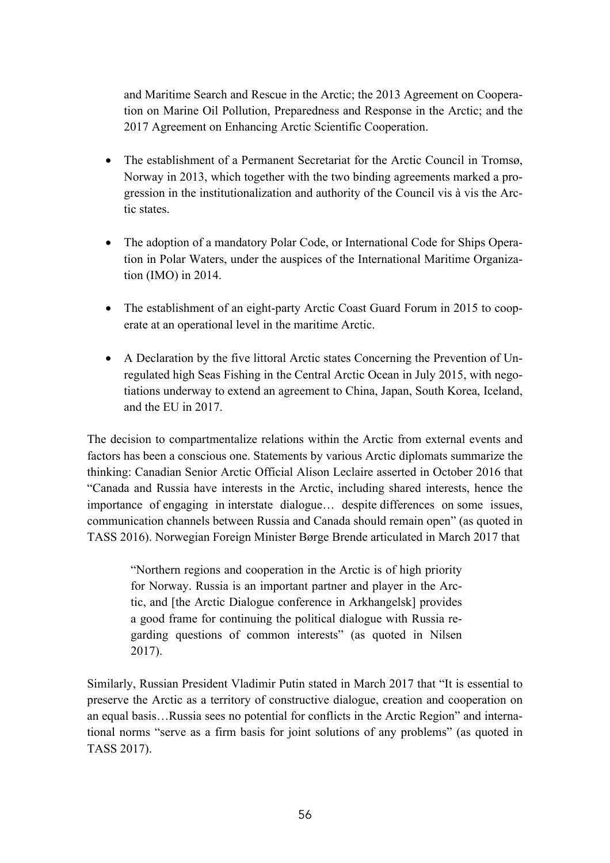and Maritime Search and Rescue in the Arctic; the 2013 Agreement on Cooperation on Marine Oil Pollution, Preparedness and Response in the Arctic; and the 2017 Agreement on Enhancing Arctic Scientific Cooperation.

- The establishment of a Permanent Secretariat for the Arctic Council in Tromsø, Norway in 2013, which together with the two binding agreements marked a progression in the institutionalization and authority of the Council vis à vis the Arctic states.
- The adoption of a mandatory Polar Code, or International Code for Ships Operation in Polar Waters, under the auspices of the International Maritime Organization (IMO) in 2014.
- The establishment of an eight-party Arctic Coast Guard Forum in 2015 to cooperate at an operational level in the maritime Arctic.
- A Declaration by the five littoral Arctic states Concerning the Prevention of Unregulated high Seas Fishing in the Central Arctic Ocean in July 2015, with negotiations underway to extend an agreement to China, Japan, South Korea, Iceland, and the EU in 2017.

The decision to compartmentalize relations within the Arctic from external events and factors has been a conscious one. Statements by various Arctic diplomats summarize the thinking: Canadian Senior Arctic Official Alison Leclaire asserted in October 2016 that "Canada and Russia have interests in the Arctic, including shared interests, hence the importance of engaging in interstate dialogue… despite differences on some issues, communication channels between Russia and Canada should remain open" (as quoted in TASS 2016). Norwegian Foreign Minister Børge Brende articulated in March 2017 that

"Northern regions and cooperation in the Arctic is of high priority for Norway. Russia is an important partner and player in the Arctic, and [the Arctic Dialogue conference in Arkhangelsk] provides a good frame for continuing the political dialogue with Russia regarding questions of common interests" (as quoted in Nilsen 2017).

Similarly, Russian President Vladimir Putin stated in March 2017 that "It is essential to preserve the Arctic as a territory of constructive dialogue, creation and cooperation on an equal basis…Russia sees no potential for conflicts in the Arctic Region" and international norms "serve as a firm basis for joint solutions of any problems" (as quoted in TASS 2017).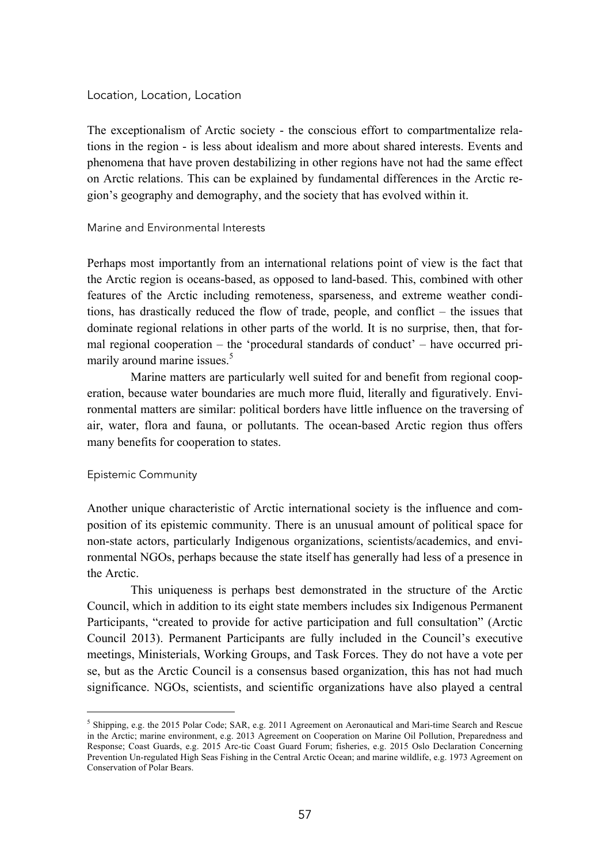#### Location, Location, Location

The exceptionalism of Arctic society - the conscious effort to compartmentalize relations in the region - is less about idealism and more about shared interests. Events and phenomena that have proven destabilizing in other regions have not had the same effect on Arctic relations. This can be explained by fundamental differences in the Arctic region's geography and demography, and the society that has evolved within it.

#### Marine and Environmental Interests

Perhaps most importantly from an international relations point of view is the fact that the Arctic region is oceans-based, as opposed to land-based. This, combined with other features of the Arctic including remoteness, sparseness, and extreme weather conditions, has drastically reduced the flow of trade, people, and conflict – the issues that dominate regional relations in other parts of the world. It is no surprise, then, that formal regional cooperation – the 'procedural standards of conduct' – have occurred primarily around marine issues.<sup>5</sup>

Marine matters are particularly well suited for and benefit from regional cooperation, because water boundaries are much more fluid, literally and figuratively. Environmental matters are similar: political borders have little influence on the traversing of air, water, flora and fauna, or pollutants. The ocean-based Arctic region thus offers many benefits for cooperation to states.

# Epistemic Community

Another unique characteristic of Arctic international society is the influence and composition of its epistemic community. There is an unusual amount of political space for non-state actors, particularly Indigenous organizations, scientists/academics, and environmental NGOs, perhaps because the state itself has generally had less of a presence in the Arctic.

This uniqueness is perhaps best demonstrated in the structure of the Arctic Council, which in addition to its eight state members includes six Indigenous Permanent Participants, "created to provide for active participation and full consultation" (Arctic Council 2013). Permanent Participants are fully included in the Council's executive meetings, Ministerials, Working Groups, and Task Forces. They do not have a vote per se, but as the Arctic Council is a consensus based organization, this has not had much significance. NGOs, scientists, and scientific organizations have also played a central

 <sup>5</sup> Shipping, e.g. the 2015 Polar Code; SAR, e.g. 2011 Agreement on Aeronautical and Mari-time Search and Rescue in the Arctic; marine environment, e.g. 2013 Agreement on Cooperation on Marine Oil Pollution, Preparedness and Response; Coast Guards, e.g. 2015 Arc-tic Coast Guard Forum; fisheries, e.g. 2015 Oslo Declaration Concerning Prevention Un-regulated High Seas Fishing in the Central Arctic Ocean; and marine wildlife, e.g. 1973 Agreement on Conservation of Polar Bears.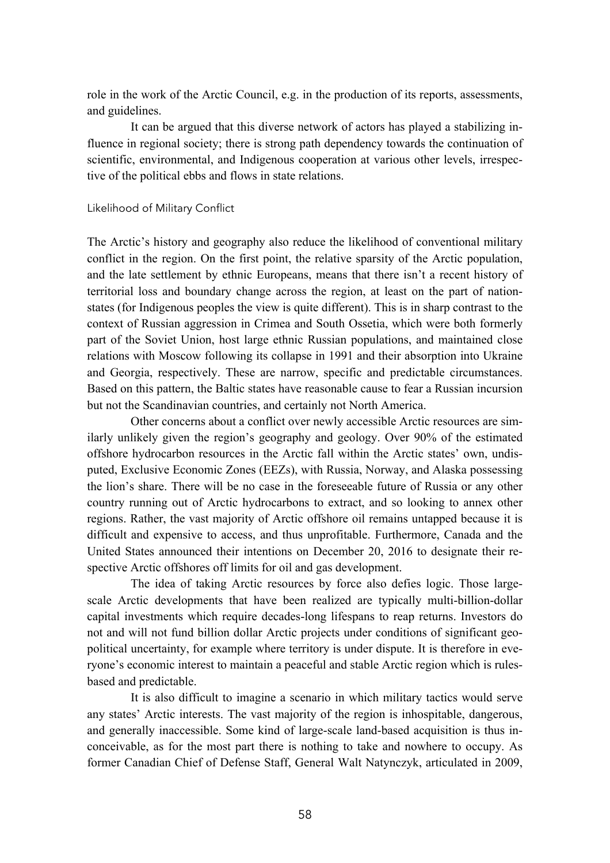role in the work of the Arctic Council, e.g. in the production of its reports, assessments, and guidelines.

It can be argued that this diverse network of actors has played a stabilizing influence in regional society; there is strong path dependency towards the continuation of scientific, environmental, and Indigenous cooperation at various other levels, irrespective of the political ebbs and flows in state relations.

# Likelihood of Military Conflict

The Arctic's history and geography also reduce the likelihood of conventional military conflict in the region. On the first point, the relative sparsity of the Arctic population, and the late settlement by ethnic Europeans, means that there isn't a recent history of territorial loss and boundary change across the region, at least on the part of nationstates (for Indigenous peoples the view is quite different). This is in sharp contrast to the context of Russian aggression in Crimea and South Ossetia, which were both formerly part of the Soviet Union, host large ethnic Russian populations, and maintained close relations with Moscow following its collapse in 1991 and their absorption into Ukraine and Georgia, respectively. These are narrow, specific and predictable circumstances. Based on this pattern, the Baltic states have reasonable cause to fear a Russian incursion but not the Scandinavian countries, and certainly not North America.

Other concerns about a conflict over newly accessible Arctic resources are similarly unlikely given the region's geography and geology. Over 90% of the estimated offshore hydrocarbon resources in the Arctic fall within the Arctic states' own, undisputed, Exclusive Economic Zones (EEZs), with Russia, Norway, and Alaska possessing the lion's share. There will be no case in the foreseeable future of Russia or any other country running out of Arctic hydrocarbons to extract, and so looking to annex other regions. Rather, the vast majority of Arctic offshore oil remains untapped because it is difficult and expensive to access, and thus unprofitable. Furthermore, Canada and the United States announced their intentions on December 20, 2016 to designate their respective Arctic offshores off limits for oil and gas development.

The idea of taking Arctic resources by force also defies logic. Those largescale Arctic developments that have been realized are typically multi-billion-dollar capital investments which require decades-long lifespans to reap returns. Investors do not and will not fund billion dollar Arctic projects under conditions of significant geopolitical uncertainty, for example where territory is under dispute. It is therefore in everyone's economic interest to maintain a peaceful and stable Arctic region which is rulesbased and predictable.

It is also difficult to imagine a scenario in which military tactics would serve any states' Arctic interests. The vast majority of the region is inhospitable, dangerous, and generally inaccessible. Some kind of large-scale land-based acquisition is thus inconceivable, as for the most part there is nothing to take and nowhere to occupy. As former Canadian Chief of Defense Staff, General Walt Natynczyk, articulated in 2009,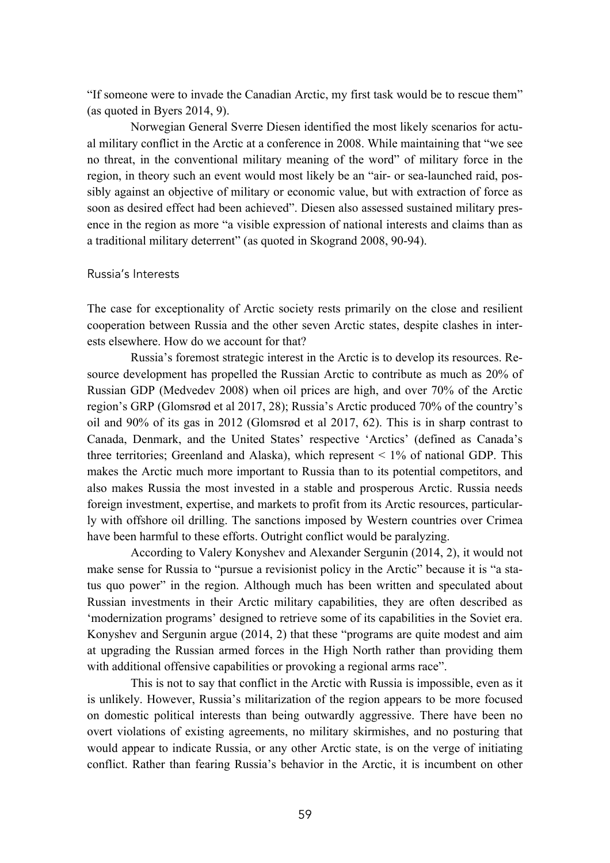"If someone were to invade the Canadian Arctic, my first task would be to rescue them" (as quoted in Byers 2014, 9).

Norwegian General Sverre Diesen identified the most likely scenarios for actual military conflict in the Arctic at a conference in 2008. While maintaining that "we see no threat, in the conventional military meaning of the word" of military force in the region, in theory such an event would most likely be an "air- or sea-launched raid, possibly against an objective of military or economic value, but with extraction of force as soon as desired effect had been achieved". Diesen also assessed sustained military presence in the region as more "a visible expression of national interests and claims than as a traditional military deterrent" (as quoted in Skogrand 2008, 90-94).

#### Russia's Interests

The case for exceptionality of Arctic society rests primarily on the close and resilient cooperation between Russia and the other seven Arctic states, despite clashes in interests elsewhere. How do we account for that?

Russia's foremost strategic interest in the Arctic is to develop its resources. Resource development has propelled the Russian Arctic to contribute as much as 20% of Russian GDP (Medvedev 2008) when oil prices are high, and over 70% of the Arctic region's GRP (Glomsrød et al 2017, 28); Russia's Arctic produced 70% of the country's oil and 90% of its gas in 2012 (Glomsrød et al 2017, 62). This is in sharp contrast to Canada, Denmark, and the United States' respective 'Arctics' (defined as Canada's three territories; Greenland and Alaska), which represent < 1% of national GDP. This makes the Arctic much more important to Russia than to its potential competitors, and also makes Russia the most invested in a stable and prosperous Arctic. Russia needs foreign investment, expertise, and markets to profit from its Arctic resources, particularly with offshore oil drilling. The sanctions imposed by Western countries over Crimea have been harmful to these efforts. Outright conflict would be paralyzing.

According to Valery Konyshev and Alexander Sergunin (2014, 2), it would not make sense for Russia to "pursue a revisionist policy in the Arctic" because it is "a status quo power" in the region. Although much has been written and speculated about Russian investments in their Arctic military capabilities, they are often described as 'modernization programs' designed to retrieve some of its capabilities in the Soviet era. Konyshev and Sergunin argue (2014, 2) that these "programs are quite modest and aim at upgrading the Russian armed forces in the High North rather than providing them with additional offensive capabilities or provoking a regional arms race".

This is not to say that conflict in the Arctic with Russia is impossible, even as it is unlikely. However, Russia's militarization of the region appears to be more focused on domestic political interests than being outwardly aggressive. There have been no overt violations of existing agreements, no military skirmishes, and no posturing that would appear to indicate Russia, or any other Arctic state, is on the verge of initiating conflict. Rather than fearing Russia's behavior in the Arctic, it is incumbent on other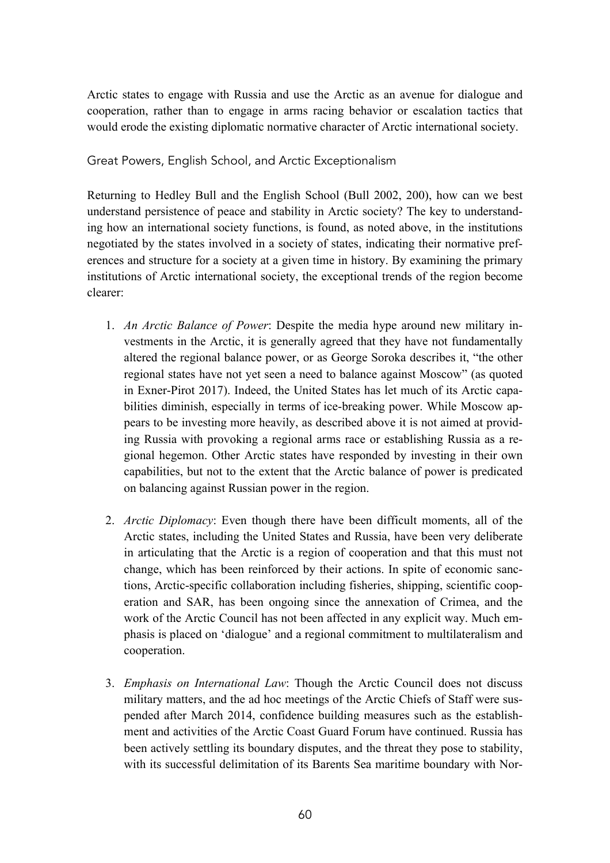Arctic states to engage with Russia and use the Arctic as an avenue for dialogue and cooperation, rather than to engage in arms racing behavior or escalation tactics that would erode the existing diplomatic normative character of Arctic international society.

Great Powers, English School, and Arctic Exceptionalism

Returning to Hedley Bull and the English School (Bull 2002, 200), how can we best understand persistence of peace and stability in Arctic society? The key to understanding how an international society functions, is found, as noted above, in the institutions negotiated by the states involved in a society of states, indicating their normative preferences and structure for a society at a given time in history. By examining the primary institutions of Arctic international society, the exceptional trends of the region become clearer:

- 1. *An Arctic Balance of Power*: Despite the media hype around new military investments in the Arctic, it is generally agreed that they have not fundamentally altered the regional balance power, or as George Soroka describes it, "the other regional states have not yet seen a need to balance against Moscow" (as quoted in Exner-Pirot 2017). Indeed, the United States has let much of its Arctic capabilities diminish, especially in terms of ice-breaking power. While Moscow appears to be investing more heavily, as described above it is not aimed at providing Russia with provoking a regional arms race or establishing Russia as a regional hegemon. Other Arctic states have responded by investing in their own capabilities, but not to the extent that the Arctic balance of power is predicated on balancing against Russian power in the region.
- 2. *Arctic Diplomacy*: Even though there have been difficult moments, all of the Arctic states, including the United States and Russia, have been very deliberate in articulating that the Arctic is a region of cooperation and that this must not change, which has been reinforced by their actions. In spite of economic sanctions, Arctic-specific collaboration including fisheries, shipping, scientific cooperation and SAR, has been ongoing since the annexation of Crimea, and the work of the Arctic Council has not been affected in any explicit way. Much emphasis is placed on 'dialogue' and a regional commitment to multilateralism and cooperation.
- 3. *Emphasis on International Law*: Though the Arctic Council does not discuss military matters, and the ad hoc meetings of the Arctic Chiefs of Staff were suspended after March 2014, confidence building measures such as the establishment and activities of the Arctic Coast Guard Forum have continued. Russia has been actively settling its boundary disputes, and the threat they pose to stability, with its successful delimitation of its Barents Sea maritime boundary with Nor-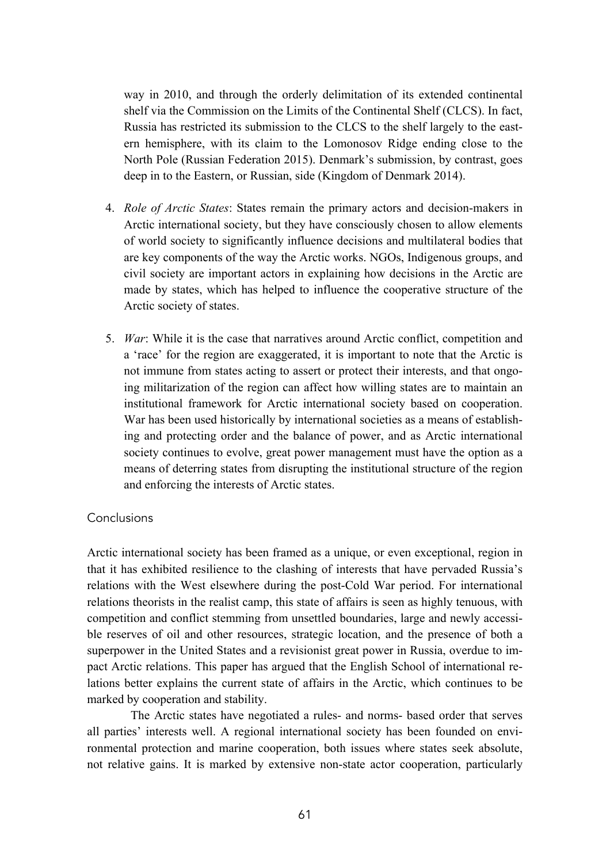way in 2010, and through the orderly delimitation of its extended continental shelf via the Commission on the Limits of the Continental Shelf (CLCS). In fact, Russia has restricted its submission to the CLCS to the shelf largely to the eastern hemisphere, with its claim to the Lomonosov Ridge ending close to the North Pole (Russian Federation 2015). Denmark's submission, by contrast, goes deep in to the Eastern, or Russian, side (Kingdom of Denmark 2014).

- 4. *Role of Arctic States*: States remain the primary actors and decision-makers in Arctic international society, but they have consciously chosen to allow elements of world society to significantly influence decisions and multilateral bodies that are key components of the way the Arctic works. NGOs, Indigenous groups, and civil society are important actors in explaining how decisions in the Arctic are made by states, which has helped to influence the cooperative structure of the Arctic society of states.
- 5. *War*: While it is the case that narratives around Arctic conflict, competition and a 'race' for the region are exaggerated, it is important to note that the Arctic is not immune from states acting to assert or protect their interests, and that ongoing militarization of the region can affect how willing states are to maintain an institutional framework for Arctic international society based on cooperation. War has been used historically by international societies as a means of establishing and protecting order and the balance of power, and as Arctic international society continues to evolve, great power management must have the option as a means of deterring states from disrupting the institutional structure of the region and enforcing the interests of Arctic states.

# Conclusions

Arctic international society has been framed as a unique, or even exceptional, region in that it has exhibited resilience to the clashing of interests that have pervaded Russia's relations with the West elsewhere during the post-Cold War period. For international relations theorists in the realist camp, this state of affairs is seen as highly tenuous, with competition and conflict stemming from unsettled boundaries, large and newly accessible reserves of oil and other resources, strategic location, and the presence of both a superpower in the United States and a revisionist great power in Russia, overdue to impact Arctic relations. This paper has argued that the English School of international relations better explains the current state of affairs in the Arctic, which continues to be marked by cooperation and stability.

The Arctic states have negotiated a rules- and norms- based order that serves all parties' interests well. A regional international society has been founded on environmental protection and marine cooperation, both issues where states seek absolute, not relative gains. It is marked by extensive non-state actor cooperation, particularly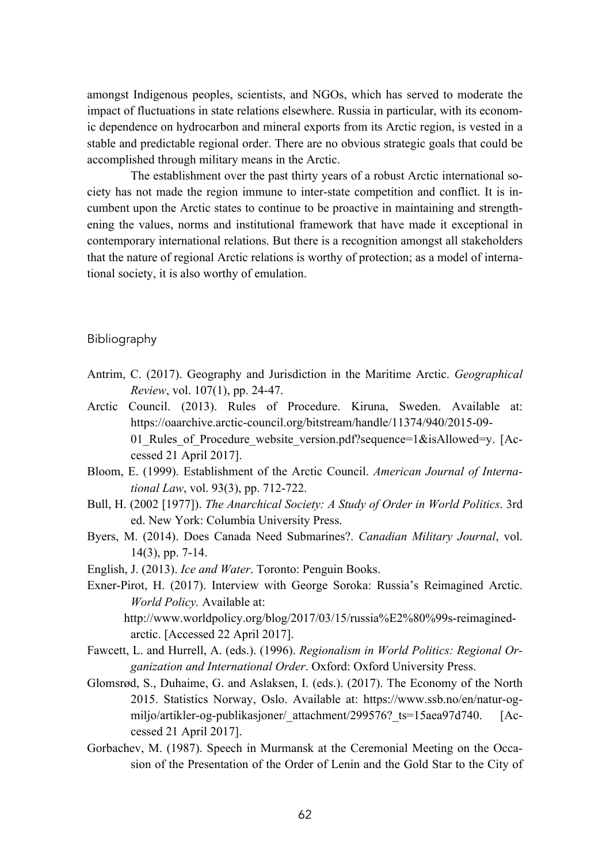amongst Indigenous peoples, scientists, and NGOs, which has served to moderate the impact of fluctuations in state relations elsewhere. Russia in particular, with its economic dependence on hydrocarbon and mineral exports from its Arctic region, is vested in a stable and predictable regional order. There are no obvious strategic goals that could be accomplished through military means in the Arctic.

The establishment over the past thirty years of a robust Arctic international society has not made the region immune to inter-state competition and conflict. It is incumbent upon the Arctic states to continue to be proactive in maintaining and strengthening the values, norms and institutional framework that have made it exceptional in contemporary international relations. But there is a recognition amongst all stakeholders that the nature of regional Arctic relations is worthy of protection; as a model of international society, it is also worthy of emulation.

# Bibliography

- Antrim, C. (2017). Geography and Jurisdiction in the Maritime Arctic. *Geographical Review*, vol. 107(1), pp. 24-47.
- Arctic Council. (2013). Rules of Procedure. Kiruna, Sweden. Available at: https://oaarchive.arctic-council.org/bitstream/handle/11374/940/2015-09- 01 Rules of Procedure website version.pdf?sequence=1&isAllowed=y. [Accessed 21 April 2017].
- Bloom, E. (1999). Establishment of the Arctic Council. *American Journal of International Law*, vol. 93(3), pp. 712-722.
- Bull, H. (2002 [1977]). *The Anarchical Society: A Study of Order in World Politics*. 3rd ed. New York: Columbia University Press.
- Byers, M. (2014). Does Canada Need Submarines?. *Canadian Military Journal*, vol. 14(3), pp. 7-14.
- English, J. (2013). *Ice and Water*. Toronto: Penguin Books.
- Exner-Pirot, H. (2017). Interview with George Soroka: Russia's Reimagined Arctic. *World Policy.* Available at:

http://www.worldpolicy.org/blog/2017/03/15/russia%E2%80%99s-reimaginedarctic. [Accessed 22 April 2017].

- Fawcett, L. and Hurrell, A. (eds.). (1996). *Regionalism in World Politics: Regional Organization and International Order*. Oxford: Oxford University Press.
- Glomsrød, S., Duhaime, G. and Aslaksen, I. (eds.). (2017). The Economy of the North 2015. Statistics Norway, Oslo. Available at: https://www.ssb.no/en/natur-ogmiljo/artikler-og-publikasjoner/ attachment/299576? ts=15aea97d740. [Accessed 21 April 2017].
- Gorbachev, M. (1987). Speech in Murmansk at the Ceremonial Meeting on the Occasion of the Presentation of the Order of Lenin and the Gold Star to the City of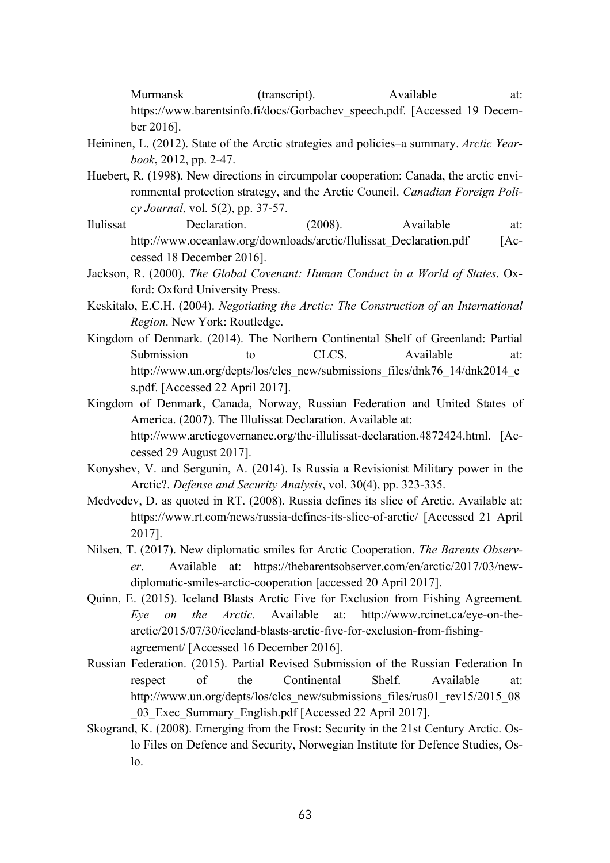Murmansk (transcript). Available at: https://www.barentsinfo.fi/docs/Gorbachev\_speech.pdf. [Accessed 19 December 2016].

- Heininen, L. (2012). State of the Arctic strategies and policies–a summary. *Arctic Yearbook*, 2012, pp. 2-47.
- Huebert, R. (1998). New directions in circumpolar cooperation: Canada, the arctic environmental protection strategy, and the Arctic Council. *Canadian Foreign Policy Journal*, vol. 5(2), pp. 37-57.
- Ilulissat Declaration. (2008). Available at: http://www.oceanlaw.org/downloads/arctic/Ilulissat\_Declaration.pdf [Accessed 18 December 2016].
- Jackson, R. (2000). *The Global Covenant: Human Conduct in a World of States*. Oxford: Oxford University Press.
- Keskitalo, E.C.H. (2004). *Negotiating the Arctic: The Construction of an International Region*. New York: Routledge.
- Kingdom of Denmark. (2014). The Northern Continental Shelf of Greenland: Partial Submission to CLCS. Available at: http://www.un.org/depts/los/clcs\_new/submissions\_files/dnk76\_14/dnk2014\_e\_ s.pdf. [Accessed 22 April 2017].
- Kingdom of Denmark, Canada, Norway, Russian Federation and United States of America. (2007). The Illulissat Declaration. Available at: http://www.arcticgovernance.org/the-illulissat-declaration.4872424.html. [Accessed 29 August 2017].
- Konyshev, V. and Sergunin, A. (2014). Is Russia a Revisionist Military power in the Arctic?. *Defense and Security Analysis*, vol. 30(4), pp. 323-335.
- Medvedev, D. as quoted in RT. (2008). Russia defines its slice of Arctic. Available at: https://www.rt.com/news/russia-defines-its-slice-of-arctic/ [Accessed 21 April 2017].
- Nilsen, T. (2017). New diplomatic smiles for Arctic Cooperation. *The Barents Observer*. Available at: https://thebarentsobserver.com/en/arctic/2017/03/newdiplomatic-smiles-arctic-cooperation [accessed 20 April 2017].
- Quinn, E. (2015). Iceland Blasts Arctic Five for Exclusion from Fishing Agreement. *Eye on the Arctic.* Available at: http://www.rcinet.ca/eye-on-thearctic/2015/07/30/iceland-blasts-arctic-five-for-exclusion-from-fishingagreement/ [Accessed 16 December 2016].
- Russian Federation. (2015). Partial Revised Submission of the Russian Federation In respect of the Continental Shelf. Available at: http://www.un.org/depts/los/clcs\_new/submissions\_files/rus01\_rev15/2015\_08 \_03\_Exec\_Summary\_English.pdf [Accessed 22 April 2017].
- Skogrand, K. (2008). Emerging from the Frost: Security in the 21st Century Arctic. Oslo Files on Defence and Security, Norwegian Institute for Defence Studies, Oslo.